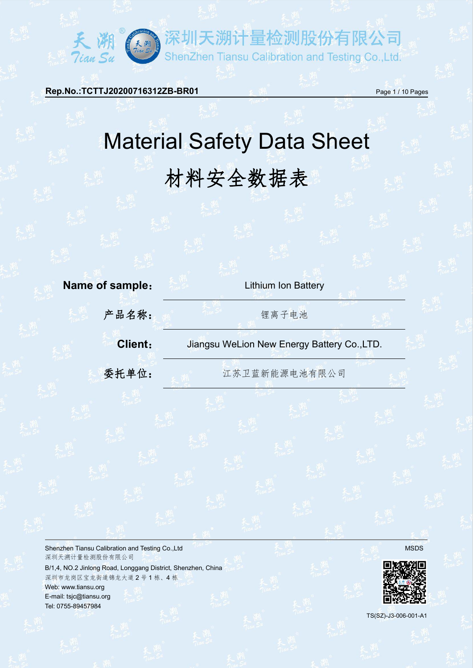**Rep.No.:TCTTJ20200716312ZB-BR01 Page 1/10 Pages** 

天<sup>湖</sup><br>Tian Su

# Material Safety Data Sheet 材料安全数据表

F溯计量检测股份有限公司

ShenZhen Tiansu Calibration and Testing Co.,Ltd.



Shenzhen Tiansu Calibration and Testing Co.,Ltd MSDS and Testing Co.,Ltd MSDS and Testing Co.,Ltd MSDS and Testing Co.,Ltd MSDS and Testing Co.,Ltd MSDS and Testing Co.,Ltd MSDS and Testing Co.,Ltd MSDS and MSDS and MSDS a 深圳天溯计量检测股份有限公司

B/1,4, NO.2 Jinlong Road, Longgang District, Shenzhen, China 深圳市龙岗区宝龙街道锦龙大道 2 号 1 栋、4 栋 Web: [www.tiansu.org](http://www.tiansu.org) E-mail: tsjc@tiansu.org Tel: 0755-89457984



TS(SZ)-J3-006-001-A1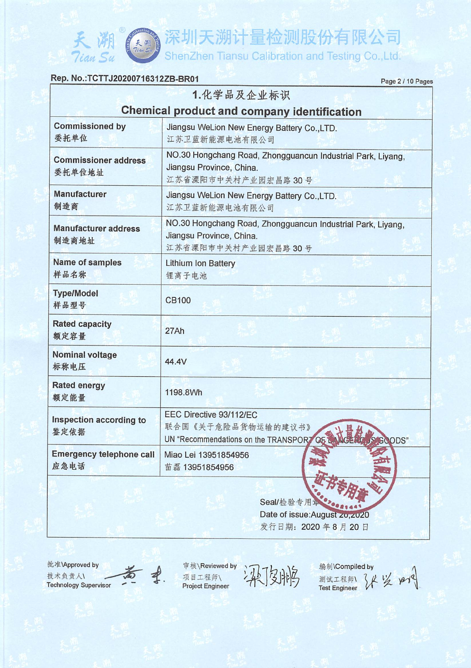#### Rep. No.: TCTTJ20200716312ZB-BR01

Tian Su

Page 2 / 10 Pages

|                                         | 1.化学品及企业标识                                                                                                    |
|-----------------------------------------|---------------------------------------------------------------------------------------------------------------|
|                                         | <b>Chemical product and company identification</b>                                                            |
| <b>Commissioned by</b><br>委托单位          | Jiangsu WeLion New Energy Battery Co., LTD.<br>江苏卫蓝新能源电池有限公司                                                  |
| <b>Commissioner address</b><br>委托单位地址   | NO.30 Hongchang Road, Zhongguancun Industrial Park, Liyang,<br>Jiangsu Province, China.<br>江苏省溧阳市中关村产业园宏昌路30号 |
| <b>Manufacturer</b><br>制造商              | Jiangsu WeLion New Energy Battery Co., LTD.<br>江苏卫蓝新能源电池有限公司                                                  |
| <b>Manufacturer address</b><br>制造商地址    | NO.30 Hongchang Road, Zhongguancun Industrial Park, Liyang,<br>Jiangsu Province, China.<br>江苏省溧阳市中关村产业园宏昌路30号 |
| Name of samples<br>样品名称                 | Lithium Ion Battery<br>锂离子电池                                                                                  |
| <b>Type/Model</b><br>样品型号               | CB100                                                                                                         |
| <b>Rated capacity</b><br>额定容量           | 27Ah                                                                                                          |
| <b>Nominal voltage</b><br>标称电压          | 44.4V                                                                                                         |
| <b>Rated energy</b><br>额定能量             | 1198.8Wh                                                                                                      |
| Inspection according to<br>鉴定依据         | EEC Directive 93/112/EC<br>联合国《关于危险品货物运输的建议书》<br>UN "Recommendations on the TRANSPORT OF<br>GOODS"            |
| <b>Emergency telephone call</b><br>应急电话 | Miao Lei 13951854956<br>苗磊 13951854956                                                                        |
|                                         |                                                                                                               |

Seal/检验专用 20041441 Date of issue: August zu, zu20 发行日期: 2020年8月20日

批准\Approved by 技术负责人\ **Technology Supervisor** 



审核\Reviewed by 项目工程师\ **Project Engineer** 

编制\Compiled by 测试工程师 34 岁 pared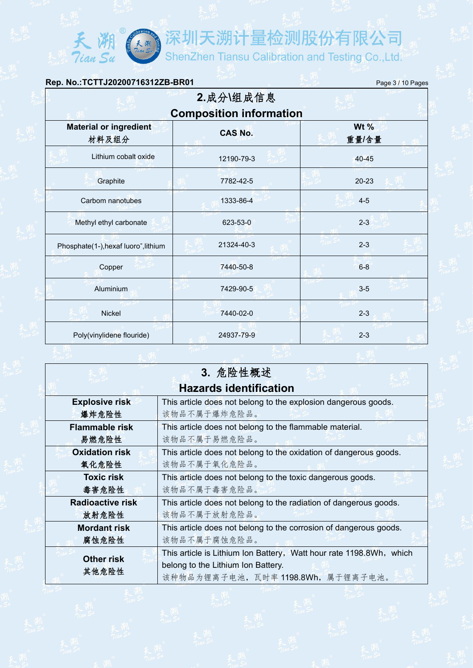| Rep. No.: TCTTJ20200716312ZB-BR01                 |                                | Page 3 / 10 Pages |  |  |  |
|---------------------------------------------------|--------------------------------|-------------------|--|--|--|
|                                                   | 2.成分\组成信息                      |                   |  |  |  |
|                                                   | <b>Composition information</b> |                   |  |  |  |
| <b>Material or ingredient</b><br>材料及组分            | <b>CAS No.</b>                 | Wt $%$<br>重量/含量   |  |  |  |
| Lithium cobalt oxide                              | 12190-79-3                     | 40-45             |  |  |  |
| Graphite                                          | 7782-42-5                      | $20 - 23$         |  |  |  |
| Carbom nanotubes                                  | 1333-86-4                      | $4 - 5$           |  |  |  |
| Methyl ethyl carbonate                            | 623-53-0                       | $2 - 3$           |  |  |  |
| Phosphate(1-), hexaf luoro <sup>-</sup> , lithium | 21324-40-3                     | $2 - 3$           |  |  |  |
| Copper                                            | 7440-50-8                      | $6 - 8$           |  |  |  |
| Aluminium                                         | 7429-90-5                      | $3-5$             |  |  |  |
| <b>Nickel</b>                                     | 7440-02-0                      | $2 - 3$           |  |  |  |
| Poly(vinylidene flouride)                         | 24937-79-9                     | $2 - 3$           |  |  |  |

天潮<br>Tian Su

天<sup>湖</sup><br>Tian Su

|                         | 3. 危险性概述                                                            |
|-------------------------|---------------------------------------------------------------------|
|                         | <b>Hazards identification</b>                                       |
| <b>Explosive risk</b>   | This article does not belong to the explosion dangerous goods.      |
| 爆炸危险性                   | 该物品不属于爆炸危险品。                                                        |
| <b>Flammable risk</b>   | This article does not belong to the flammable material.             |
| 易燃危险性                   | 该物品不属于易燃危险品。                                                        |
| <b>Oxidation risk</b>   | This article does not belong to the oxidation of dangerous goods.   |
| 氧化危险性                   | 该物品不属于氧化危险品。                                                        |
| <b>Toxic risk</b>       | This article does not belong to the toxic dangerous goods.          |
| 毒害危险性                   | 该物品不属于毒害危险品。                                                        |
| <b>Radioactive risk</b> | This article does not belong to the radiation of dangerous goods.   |
| 放射危险性                   | 该物品不属于放射危险品。                                                        |
| <b>Mordant risk</b>     | This article does not belong to the corrosion of dangerous goods.   |
| 腐蚀危险性                   | 该物品不属于腐蚀危险品。                                                        |
| <b>Other risk</b>       | This article is Lithium Ion Battery, Watt hour rate 1198.8Wh, which |
| 其他危险性                   | belong to the Lithium Ion Battery.                                  |
|                         | 该种物品为锂离子电池, 瓦时率 1198.8Wh, 属于锂离子电池。                                  |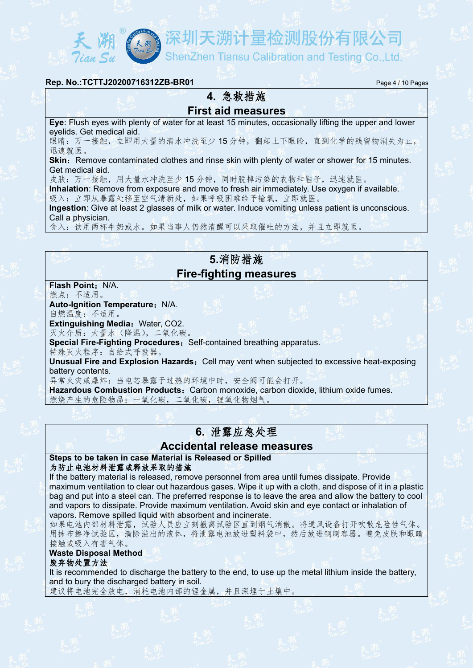ShenZhen Tiansu Calibration and Testing Co., Ltd.

#### **Rep. No.:TCTTJ20200716312ZB-BR01** Page 4 / 10 Pages

### **4.** 急救措施 **First aid measures**

**Eye**: Flush eyes with plenty of water for at least 15 minutes, occasionally lifting the upper and lower eyelids. Get medical aid.

眼睛:万一接触,立即用大量的清水冲洗至少15分钟,翻起上下眼睑,直到化学的残留物消失为止, 迅速就医。

**Skin:** Remove contaminated clothes and rinse skin with plenty of water or shower for 15 minutes. Get medical aid.

皮肤:万一接触,用大量水冲洗至少15分钟,同时脱掉污染的衣物和鞋子,迅速就医。

**Inhalation**: Remove from exposure and move to fresh air immediately. Use oxygen if available.吸入:立即从暴露处移至空气清新处,如果呼吸困难给予输氧,立即就医。

**Ingestion**: Give at least 2 glasses of milk or water. Induce vomiting unless patient is unconscious. Call a physician.

食入:饮用两杯牛奶或水。如果当事人仍然清醒可以采取催吐的方法,并且立即就医。

## **5.**消防措施 **Fire-fighting measures**

**Flash Point: N/A.** 燃点:不适用。

**Auto-Ignition Temperature: N/A.** 自燃温度:不适用。

**Extinguishing Media: Water, CO2.** 

灭火介质:大量水(降温),二氧化碳。

**Special Fire-Fighting Procedures: Self-contained breathing apparatus.** 

特殊灭火程序:自给式呼吸器。

**Unusual Fire and Explosion Hazards:** Cell may vent when subjected to excessive heat-exposing battery contents.

异常火灾或爆炸:当电芯暴露于过热的环境中时,安全阀可能会打开。

**Hazardous Combustion Products:** Carbon monoxide, carbon dioxide, lithium oxide fumes. 燃烧产生的危险物品:一氧化碳,二氧化碳,锂氧化物烟气。

## **6.** 泄露应急处理

#### **Accidental release measures**

**Steps to be taken in case Material is Released or Spilled** 为防止电池材料泄露或释放采取的措施

If the battery material is released, remove personnel from area until fumes dissipate. Provide maximum ventilation to clear out hazardous gases. Wipe it up with a cloth, and dispose of it in a plastic bag and put into a steel can. The preferred response is to leave the area and allow the battery to cool and vapors to dissipate. Provide maximum ventilation. Avoid skin and eye contact or inhalation of vapors. Remove spilled liquid with absorbent and incinerate.

如果电池内部材料泄露,试验人员应立刻撤离试验区直到烟气消散。将通风设备打开吹散危险性气体。 用抹布擦净试验区,清除溢出的液体,将泄露电池放进塑料袋中,然后放进钢制容器。避免皮肤和眼睛 接触或吸入有害气体。

#### **Waste Disposal Method**

废弃物处置方法

It is recommended to discharge the battery to the end, to use up the metal lithium inside the battery, and to bury the discharged battery in soil.

建议将电池完全放电,消耗电池内部的锂金属,并且深埋于土壤中。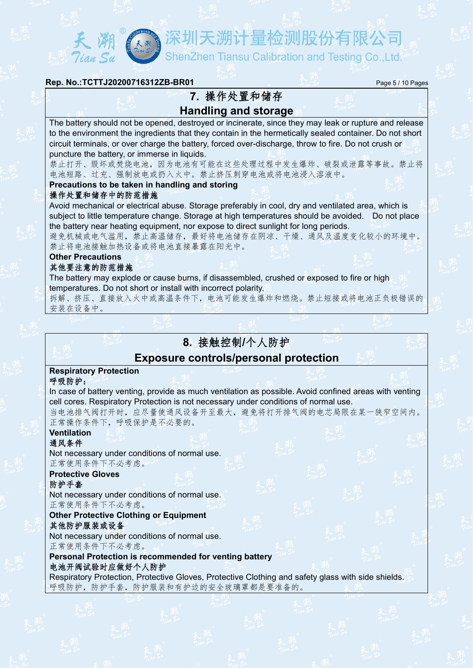ShenZhen Tiansu Calibration and Testing Co.,Ltd.

#### **Rep. No.:TCTTJ20200716312ZB-BR01** Page 5 / 10 Pages

## **7.** 操作处置和储存 **Handling and storage**

The battery should not be opened, destroyed or incinerate, since they may leak or rupture and release to the environment the ingredients that they contain in the hermetically sealed container. Do not short circuit terminals, or over charge the battery, forced over-discharge, throw to fire. Do not crush or puncture the battery, or immerse in liquids.

禁止打开、毁坏或焚烧电池,因为电池有可能在这些处理过程中发生爆炸、破裂或泄露等事故。禁止将 电池短路、过充、强制放电或扔入火中。禁止挤压刺穿电池或将电池浸入溶液中。

#### **Precautions to be taken in handling and storing**

#### 操作处置和储存中的防范措施

Avoid mechanical or electrical abuse. Storage preferably in cool, dry and ventilated area, which is subject to little temperature change. Storage at high temperatures should be avoided. Do not place the battery near heating equipment, nor expose to direct sunlight for long periods.

避免机械或电气滥用,禁止高温储存,最好将电池储存在阴凉、干燥、通风及温度变化较小的环境中。 禁止将电池接触加热设备或将电池直接暴露在阳光中。

## **Other Precautions**

#### 其他要注意的防范措施

The battery may explode or cause burns, if disassembled, crushed or exposed to fire or high temperatures. Do not short or install with incorrect polarity.

拆解、挤压、直接放入火中或高温条件下,电池可能发生爆炸和燃烧。禁止短接或将电池正负极错误的 安装在设备中。

## **8.** 接触控制**/**个人防护

#### **Exposure controls/personal protection**

#### **Respiratory Protection**

#### 呼吸防护:

In case of battery venting, provide as much ventilation as possible. Avoid confined areas with venting cell cores. Respiratory Protection is not necessary under conditions of normal use.

当电池排气阀打开时,应尽量使通风设备开至最大,避免将打开排气阀的电芯局限在某一狭窄空间内。 正常操作条件下,呼吸保护是不必要的。

## **Ventilation**

#### 通风条件

Not necessary under conditions of normal use. 正常使用条件下不必考虑。

## **Protective Gloves**

#### 防护手套

Not necessary under conditions of normal use. 正常使用条件下不必考虑。

#### **Other Protective Clothing or Equipment**

#### 其他防护服装或设备

Not necessary under conditions of normal use. 正常使用条件下不必考虑。

#### **Personal Protection is recommended for venting battery** 电池开阀试验时应做好个人防护

Respiratory Protection, Protective Gloves, Protective Clothing and safety glass with side shields. 呼吸防护,防护手套,防护服装和有护边的安全玻璃罩都是要准备的。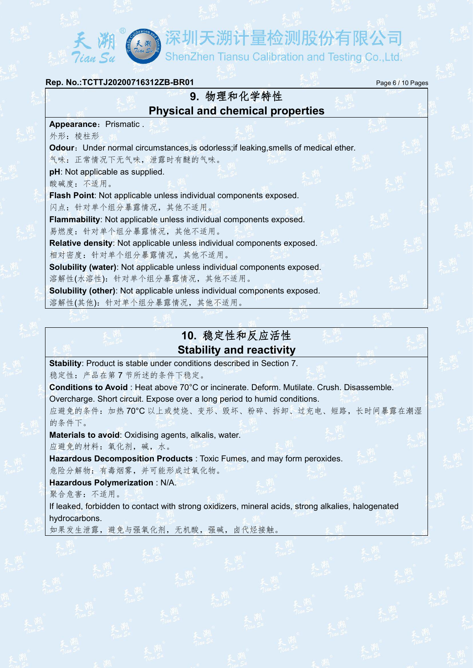| Rep. No.: TCTTJ20200716312ZB-BR01                                                    | Page 6 / 10 Pages |  |
|--------------------------------------------------------------------------------------|-------------------|--|
| 9. 物理和化学特性                                                                           |                   |  |
| <b>Physical and chemical properties</b>                                              |                   |  |
| Appearance: Prismatic.                                                               |                   |  |
| 外形: 棱柱形                                                                              |                   |  |
| Odour: Under normal circumstances, is odorless; if leaking, smells of medical ether. |                   |  |
| 气味: 正常情况下无气味, 泄露时有醚的气味。                                                              |                   |  |
| pH: Not applicable as supplied.                                                      |                   |  |
| 酸碱度:不适用。                                                                             |                   |  |
| Flash Point: Not applicable unless individual components exposed.                    |                   |  |
| 闪点: 针对单个组分暴露情况, 其他不适用。                                                               |                   |  |
| Flammability: Not applicable unless individual components exposed.                   |                   |  |
| 易燃度: 针对单个组分暴露情况, 其他不适用。                                                              |                   |  |
| Relative density: Not applicable unless individual components exposed.               |                   |  |
| 相对密度: 针对单个组分暴露情况, 其他不适用。                                                             |                   |  |
| Solubility (water): Not applicable unless individual components exposed.             |                   |  |
| 溶解性(水溶性): 针对单个组分暴露情况, 其他不适用。                                                         |                   |  |
| Solubility (other): Not applicable unless individual components exposed.             |                   |  |
| 溶解性(其他): 针对单个组分暴露情况, 其他不适用。                                                          |                   |  |
|                                                                                      |                   |  |

## **10.** 稳定性和反应活性 **Stability and reactivity**

**Stability**: Product is stable under conditions described in Section 7.

稳定性:产品在第 7 节所述的条件下稳定。

長天<sup>潮</sup>

**Conditions to Avoid** : Heat above 70°C or incinerate. Deform. Mutilate. Crush. Disassemble. Overcharge. Short circuit. Expose over a long period to humid conditions. 应避免的条件:加热 70°C 以上或焚烧、变形、毁坏、粉碎、拆卸、过充电、短路,长时间暴露在潮湿

的条件下。

**Materials to avoid**: Oxidising agents, alkalis, water.

应避免的材料:氧化剂,碱,水。

**Hazardous Decomposition Products** : Toxic Fumes, and may form peroxides.

危险分解物:有毒烟雾,并可能形成过氧化物。

**Hazardous Polymerization** : N/A.

聚合危害:不适用。

If leaked, forbidden to contact with strong oxidizers, mineral acids, strong alkalies, halogenated hydrocarbons.

如果发生泄露,避免与强氧化剂,无机酸,强碱,卤代烃接触。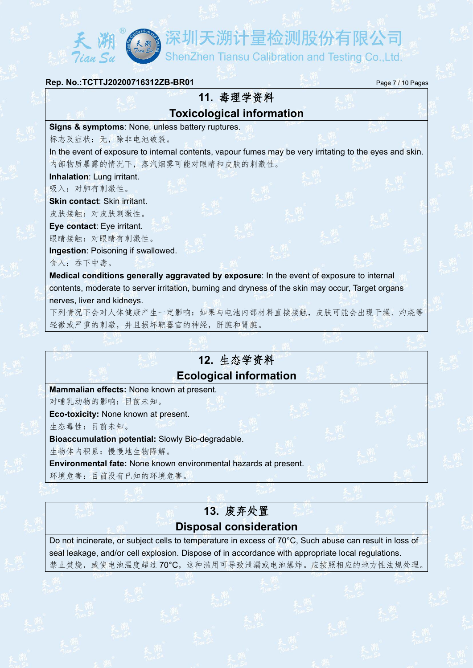(KM) 深圳天溯计量检测股份有限公司

ShenZhen Tiansu Calibration and Testing Co.,Ltd.

## **Rep. No.:TCTTJ20200716312ZB-BR01** Page 7 / 10 Pages **11.** 毒理学资料 **Toxicological information Signs & symptoms**: None, unless battery ruptures.标志及症状:无,除非电池破裂。 In the event of exposure to internal contents, vapour fumes may be very irritating to the eyes and skin.内部物质暴露的情况下,蒸汽烟雾可能对眼睛和皮肤的刺激性。 **Inhalation**: Lung irritant. 吸入:对肺有刺激性。 **Skin contact**: Skin irritant. 皮肤接触:对皮肤刺激性。 **Eye contact**: Eye irritant. 眼睛接触:对眼睛有刺激性。 **Ingestion**: Poisoning if swallowed. 食入:吞下中毒。 **Medical conditions generally aggravated by exposure**: In the event of exposure to internal contents, moderate to server irritation, burning and dryness of the skin may occur, Target organs nerves, liver and kidneys. 下列情况下会对人体健康产生一定影响:如果与电池内部材料直接接触,皮肤可能会出现干燥、灼烧等 轻微或严重的刺激,并且损坏靶器官的神经,肝脏和肾脏。

## **12.** 生态学资料 **Ecological information**

**Mammalian effects:** None known at present.

对哺乳动物的影响:目前未知。

**Eco-toxicity:** None known at present.

生态毒性:目前未知。

**Bioaccumulation potential:** Slowly Bio-degradable.

生物体内积累:慢慢地生物降解。

**Environmental fate:** None known environmental hazards at present.

环境危害:目前没有已知的环境危害。

## **13.** 废弃处置 **Disposal consideration**

Do not incinerate, or subject cells to temperature in excess of 70°C, Such abuse can result in loss of seal leakage, and/or cell explosion. Dispose of in accordance with appropriate local regulations. 禁止焚烧,或使电池温度超过70℃,这种滥用可导致泄漏或电池爆炸。应按照相应的地方性法规处理。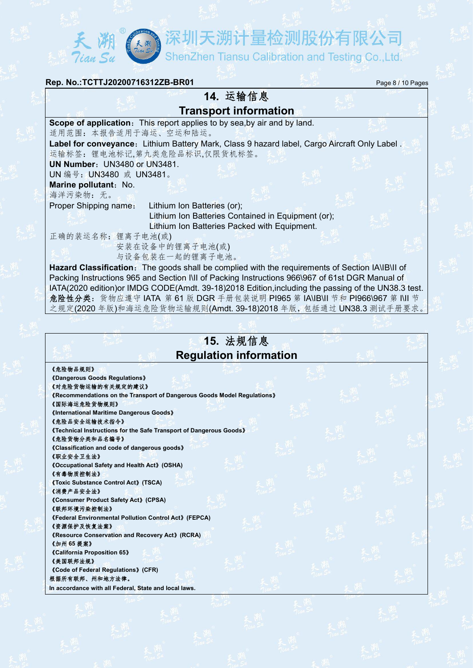ShenZhen Tiansu Calibration and Testing Co.,Ltd.

| Rep. No.: TCTTJ20200716312ZB-BR01<br>Page 8 / 10 Pages                                              |  |
|-----------------------------------------------------------------------------------------------------|--|
| 14. 运输信息                                                                                            |  |
| <b>Transport information</b>                                                                        |  |
| Scope of application: This report applies to by sea, by air and by land.<br>适用范围: 本报告适用于海运、空运和陆运。   |  |
| Label for conveyance: Lithium Battery Mark, Class 9 hazard label, Cargo Aircraft Only Label.        |  |
| 运输标签: 锂电池标记,第九类危险品标识,仅限货机标签。                                                                        |  |
| UN Number: UN3480 or UN3481.                                                                        |  |
| UN 编号: UN3480 或 UN3481。                                                                             |  |
| Marine pollutant: No.                                                                               |  |
| 海洋污染物: 无。                                                                                           |  |
| Proper Shipping name:<br>Lithium Ion Batteries (or);                                                |  |
| Lithium Ion Batteries Contained in Equipment (or);                                                  |  |
| Lithium Ion Batteries Packed with Equipment.<br>正确的装运名称: 锂离子电池(或)                                   |  |
| 安装在设备中的锂离子电池(或)                                                                                     |  |
| 与设备包装在一起的锂离子电池。                                                                                     |  |
| Hazard Classification: The goods shall be complied with the requirements of Section IA\IB\II of     |  |
| Packing Instructions 965 and Section I\II of Packing Instructions 966\967 of 61st DGR Manual of     |  |
| IATA(2020 edition) or IMDG CODE(Amdt. 39-18)2018 Edition, including the passing of the UN38.3 test. |  |

**15.** 法规信息 **Regulation information**

危险性分类:货物应遵守 IATA 第 61 版 DGR 手册包装说明 PI965 第 IA\IB\II 节和 PI966\967 第 I\II 节 之规定(2020 年版)和海运危险货物运输规则(Amdt. 39-18)2018 年版,包括通过 UN38.3 测试手册要求。

《危险物品规则》

《**Dangerous Goods Regulations**》

天<br>Tian Su

天朔

《对危险货物运输的有关规定的建议》 《**Recommendations on the Transport of Dangerous Goods Model Regulations**》

《国际海运危险货物规则》

《**International Maritime Dangerous Goods**》

《危险品安全运输技术指令》

《**Technical Instructions for the Safe Transport of Dangerous Goods**》 《危险货物分类和品名编号》

《**Classification and code of dangerous goods**》

《职业安全卫生法》

《**Occupational Safety and Health Act**》**(OSHA)** 《有毒物质控制法》

《**Toxic Substance Control Act**》**(TSCA)**

《消费产品安全法》 《**Consumer Product Safety Act**》**(CPSA)**

《联邦环境污染控制法》

《**Federal Environmental Pollution Control Act**》**(FEPCA)** 《资源保护及恢复法案》

《**Resource Conservation and Recovery Act**》**(RCRA)**

《加州 **65** 提案》 《**California Proposition 65**》

《美国联邦法规》

《**Code of Federal Regulations**》**(CFR)** 根据所有联邦、州和地方法律。 **In accordance with all Federal, State and local laws.**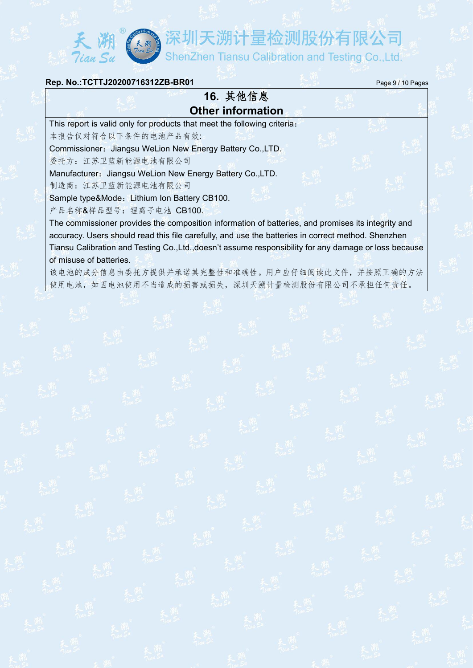夭溯《寒圳天溯计量检测股份有限公司

#### **Rep. No.:TCTTJ20200716312ZB-BR01** Page 9/10 Pages

## **16.** 其他信息 **Other information**

This report is valid only for products that meet the following criteria:

本报告仅对符合以下条件的电池产品有效:

Commissioner: Jiangsu WeLion New Energy Battery Co.,LTD.

委托方:江苏卫蓝新能源电池有限公司

Manufacturer: Jiangsu WeLion New Energy Battery Co.,LTD.

制造商:江苏卫蓝新能源电池有限公司

Sample type&Mode: Lithium Ion Battery CB100.

产品名称&样品型号:锂离子电池 CB100.

The commissioner provides the composition information of batteries, and promises its integrity and accuracy. Users should read this file carefully, and use the batteries in correct method. Shenzhen Tiansu Calibration and Testing Co.,Ltd.,doesn't assume responsibility for any damage or loss because of misuse of batteries.

该电池的成分信息由委托方提供并承诺其完整性和准确性。用户应仔细阅读此文件,并按照正确的方法 使用电池,如因电池使用不当造成的损害或损失,深圳天溯计量检测股份有限公司不承担任何责任。